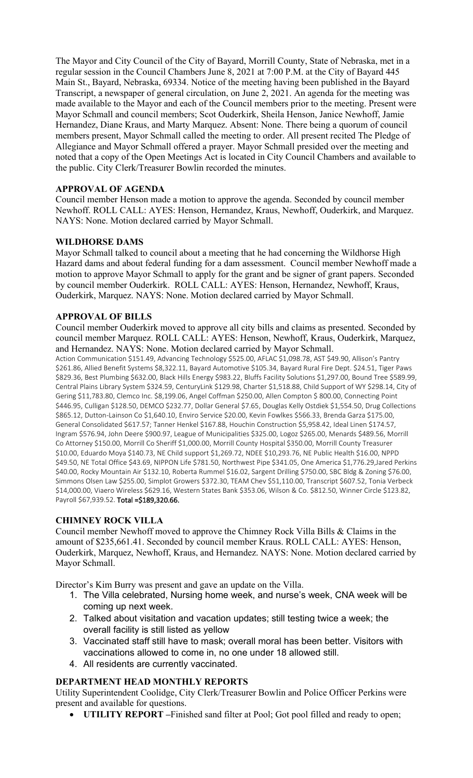The Mayor and City Council of the City of Bayard, Morrill County, State of Nebraska, met in a regular session in the Council Chambers June 8, 2021 at 7:00 P.M. at the City of Bayard 445 Main St., Bayard, Nebraska, 69334. Notice of the meeting having been published in the Bayard Transcript, a newspaper of general circulation, on June 2, 2021. An agenda for the meeting was made available to the Mayor and each of the Council members prior to the meeting. Present were Mayor Schmall and council members; Scot Ouderkirk, Sheila Henson, Janice Newhoff, Jamie Hernandez, Diane Kraus, and Marty Marquez. Absent: None. There being a quorum of council members present, Mayor Schmall called the meeting to order. All present recited The Pledge of Allegiance and Mayor Schmall offered a prayer. Mayor Schmall presided over the meeting and noted that a copy of the Open Meetings Act is located in City Council Chambers and available to the public. City Clerk/Treasurer Bowlin recorded the minutes.

# **APPROVAL OF AGENDA**

Council member Henson made a motion to approve the agenda. Seconded by council member Newhoff. ROLL CALL: AYES: Henson, Hernandez, Kraus, Newhoff, Ouderkirk, and Marquez. NAYS: None. Motion declared carried by Mayor Schmall.

# **WILDHORSE DAMS**

Mayor Schmall talked to council about a meeting that he had concerning the Wildhorse High Hazard dams and about federal funding for a dam assessment. Council member Newhoff made a motion to approve Mayor Schmall to apply for the grant and be signer of grant papers. Seconded by council member Ouderkirk. ROLL CALL: AYES: Henson, Hernandez, Newhoff, Kraus, Ouderkirk, Marquez. NAYS: None. Motion declared carried by Mayor Schmall.

### **APPROVAL OF BILLS**

Council member Ouderkirk moved to approve all city bills and claims as presented. Seconded by council member Marquez. ROLL CALL: AYES: Henson, Newhoff, Kraus, Ouderkirk, Marquez, and Hernandez. NAYS: None. Motion declared carried by Mayor Schmall.

Action Communication \$151.49, Advancing Technology \$525.00, AFLAC \$1,098.78, AST \$49.90, Allison's Pantry \$261.86, Allied Benefit Systems \$8,322.11, Bayard Automotive \$105.34, Bayard Rural Fire Dept. \$24.51, Tiger Paws \$829.36, Best Plumbing \$632.00, Black Hills Energy \$983.22, Bluffs Facility Solutions \$1,297.00, Bound Tree \$589.99, Central Plains Library System \$324.59, CenturyLink \$129.98, Charter \$1,518.88, Child Support of WY \$298.14, City of Gering \$11,783.80, Clemco Inc. \$8,199.06, Angel Coffman \$250.00, Allen Compton \$ 800.00, Connecting Point \$446.95, Culligan \$128.50, DEMCO \$232.77, Dollar General \$7.65, Douglas Kelly Ostdiek \$1,554.50, Drug Collections \$865.12, Dutton-Lainson Co \$1,640.10, Enviro Service \$20.00, Kevin Fowlkes \$566.33, Brenda Garza \$175.00, General Consolidated \$617.57; Tanner Henkel \$167.88, Houchin Construction \$5,958.42, Ideal Linen \$174.57, Ingram \$576.94, John Deere \$900.97, League of Municipalities \$325.00, Logoz \$265.00, Menards \$489.56, Morrill Co Attorney \$150.00, Morrill Co Sheriff \$1,000.00, Morrill County Hospital \$350.00, Morrill County Treasurer \$10.00, Eduardo Moya \$140.73, NE Child support \$1,269.72, NDEE \$10,293.76, NE Public Health \$16.00, NPPD \$49.50, NE Total Office \$43.69, NIPPON Life \$781.50, Northwest Pipe \$341.05, One America \$1,776.29,Jared Perkins \$40.00, Rocky Mountain Air \$132.10, Roberta Rummel \$16.02, Sargent Drilling \$750.00, SBC Bldg & Zoning \$76.00, Simmons Olsen Law \$255.00, Simplot Growers \$372.30, TEAM Chev \$51,110.00, Transcript \$607.52, Tonia Verbeck \$14,000.00, Viaero Wireless \$629.16, Western States Bank \$353.06, Wilson & Co. \$812.50, Winner Circle \$123.82, Payroll \$67,939.52. Total = \$189,320.66.

# **CHIMNEY ROCK VILLA**

Council member Newhoff moved to approve the Chimney Rock Villa Bills & Claims in the amount of \$235,661.41. Seconded by council member Kraus. ROLL CALL: AYES: Henson, Ouderkirk, Marquez, Newhoff, Kraus, and Hernandez. NAYS: None. Motion declared carried by Mayor Schmall.

Director's Kim Burry was present and gave an update on the Villa.

- 1. The Villa celebrated, Nursing home week, and nurse's week, CNA week will be coming up next week.
- 2. Talked about visitation and vacation updates; still testing twice a week; the overall facility is still listed as yellow
- 3. Vaccinated staff still have to mask; overall moral has been better. Visitors with vaccinations allowed to come in, no one under 18 allowed still.
- 4. All residents are currently vaccinated.

# **DEPARTMENT HEAD MONTHLY REPORTS**

Utility Superintendent Coolidge, City Clerk/Treasurer Bowlin and Police Officer Perkins were present and available for questions.

• **UTILITY REPORT –**Finished sand filter at Pool; Got pool filled and ready to open;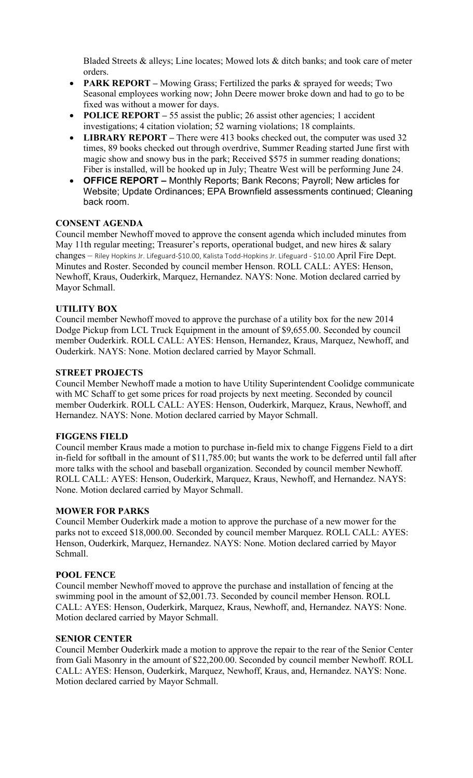Bladed Streets & alleys; Line locates; Mowed lots & ditch banks; and took care of meter orders.

- **PARK REPORT –** Mowing Grass; Fertilized the parks & sprayed for weeds; Two Seasonal employees working now; John Deere mower broke down and had to go to be fixed was without a mower for days.
- **POLICE REPORT** 55 assist the public; 26 assist other agencies; 1 accident investigations; 4 citation violation; 52 warning violations; 18 complaints.
- **LIBRARY REPORT** There were 413 books checked out, the computer was used 32 times, 89 books checked out through overdrive, Summer Reading started June first with magic show and snowy bus in the park; Received \$575 in summer reading donations; Fiber is installed, will be hooked up in July; Theatre West will be performing June 24.
- **OFFICE REPORT –** Monthly Reports; Bank Recons; Payroll; New articles for Website; Update Ordinances; EPA Brownfield assessments continued; Cleaning back room.

### **CONSENT AGENDA**

Council member Newhoff moved to approve the consent agenda which included minutes from May 11th regular meeting; Treasurer's reports, operational budget, and new hires & salary changes - Riley Hopkins Jr. Lifeguard-\$10.00, Kalista Todd-Hopkins Jr. Lifeguard - \$10.00 April Fire Dept. Minutes and Roster. Seconded by council member Henson. ROLL CALL: AYES: Henson, Newhoff, Kraus, Ouderkirk, Marquez, Hernandez. NAYS: None. Motion declared carried by Mayor Schmall.

### **UTILITY BOX**

Council member Newhoff moved to approve the purchase of a utility box for the new 2014 Dodge Pickup from LCL Truck Equipment in the amount of \$9,655.00. Seconded by council member Ouderkirk. ROLL CALL: AYES: Henson, Hernandez, Kraus, Marquez, Newhoff, and Ouderkirk. NAYS: None. Motion declared carried by Mayor Schmall.

### **STREET PROJECTS**

Council Member Newhoff made a motion to have Utility Superintendent Coolidge communicate with MC Schaff to get some prices for road projects by next meeting. Seconded by council member Ouderkirk. ROLL CALL: AYES: Henson, Ouderkirk, Marquez, Kraus, Newhoff, and Hernandez. NAYS: None. Motion declared carried by Mayor Schmall.

### **FIGGENS FIELD**

Council member Kraus made a motion to purchase in-field mix to change Figgens Field to a dirt in-field for softball in the amount of \$11,785.00; but wants the work to be deferred until fall after more talks with the school and baseball organization. Seconded by council member Newhoff. ROLL CALL: AYES: Henson, Ouderkirk, Marquez, Kraus, Newhoff, and Hernandez. NAYS: None. Motion declared carried by Mayor Schmall.

### **MOWER FOR PARKS**

Council Member Ouderkirk made a motion to approve the purchase of a new mower for the parks not to exceed \$18,000.00. Seconded by council member Marquez. ROLL CALL: AYES: Henson, Ouderkirk, Marquez, Hernandez. NAYS: None. Motion declared carried by Mayor Schmall.

### **POOL FENCE**

Council member Newhoff moved to approve the purchase and installation of fencing at the swimming pool in the amount of \$2,001.73. Seconded by council member Henson. ROLL CALL: AYES: Henson, Ouderkirk, Marquez, Kraus, Newhoff, and, Hernandez. NAYS: None. Motion declared carried by Mayor Schmall.

### **SENIOR CENTER**

Council Member Ouderkirk made a motion to approve the repair to the rear of the Senior Center from Gali Masonry in the amount of \$22,200.00. Seconded by council member Newhoff. ROLL CALL: AYES: Henson, Ouderkirk, Marquez, Newhoff, Kraus, and, Hernandez. NAYS: None. Motion declared carried by Mayor Schmall.